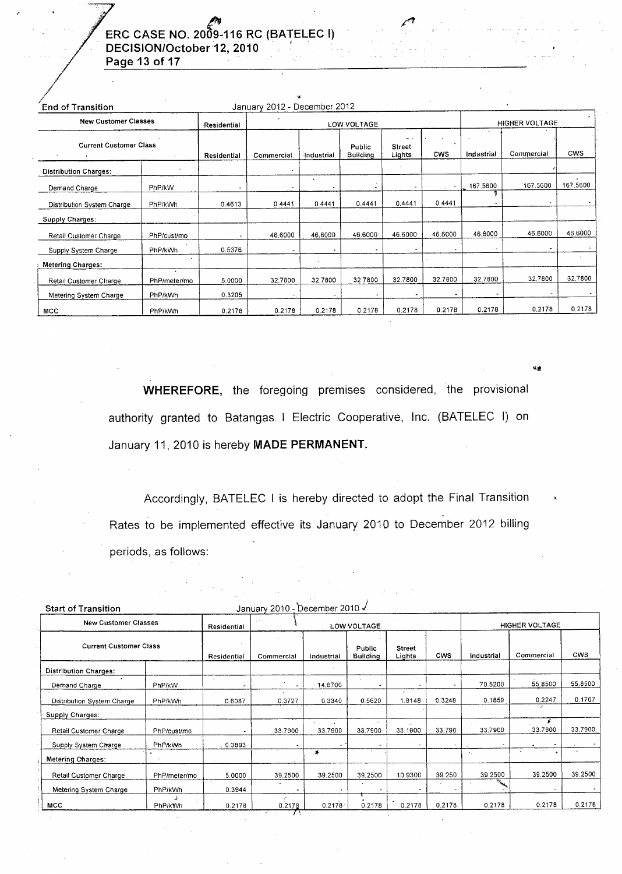## ERC CASE NO. 2009-116 RC (BATELEC I) DECISION/October 12, 2010 Page 13 of 17

| <b>End of Transition</b>                                     |                           |             | January 2012 - December 2012 |            |                           |                                     |                |            |            |            |
|--------------------------------------------------------------|---------------------------|-------------|------------------------------|------------|---------------------------|-------------------------------------|----------------|------------|------------|------------|
| <b>New Customer Classes</b><br><b>Current Customer Class</b> |                           | Residential |                              |            | LOW VOLTAGE               |                                     | HIGHER VOLTAGE |            |            |            |
|                                                              |                           | Residential | Commercial                   | Industrial | Public<br><b>Building</b> | $\cdots$<br><b>Street</b><br>Lights | <b>CWS</b>     | Industrial | Commercial | <b>CWS</b> |
| <b>Distribution Charges:</b>                                 |                           |             |                              |            |                           |                                     |                |            |            |            |
| Demand Charge                                                | PhP/kW                    |             |                              |            |                           | ٠                                   | $\sim$         | 167.5600   | 167.5600   | 167.5600   |
| Distribution System Charge                                   | PhP/kWh                   | 0.4613      | 0.4441                       | 0.4441     | 0.4441                    | 0.4441                              | 0.4441         |            |            |            |
| Supply Charges:                                              |                           |             |                              |            |                           |                                     |                |            |            |            |
| Retail Customer Charge                                       | PhP/cust/mo               |             | 46,6000                      | 46.6000    | 46.6000                   | 46.6000                             | 46.6000        | 46,6000    | 46,6000    | 46,6000    |
| Supply System Charge                                         | PhP/kWh                   | 0.5376      |                              |            |                           |                                     |                |            |            |            |
| <b>Metering Charges:</b>                                     |                           |             |                              |            |                           |                                     |                |            |            |            |
| Retail Customer Charge                                       | $\bullet$<br>PhP/meter/mo | 5.0000      | 32.7800                      | 32.7800    | 32.7800                   | 32.7800                             | 32.7800        | 32.7800    | 32,7800    | 32.7800    |
| Metering System Charge                                       | PhP/kWh                   | 0.3205      |                              |            |                           |                                     |                | ٠          |            |            |
| <b>MCC</b>                                                   | PhP/kWh                   | 0.2178      | 0.2178                       | 0.2178     | 0.2178                    | 0.2178                              | 0.2178         | 0.2178     | 0.2178     | 0.2178     |

WHEREFORE, the foregoing premises considered, the provisional authority granted to Batangas I Electric Cooperative, Inc. (BATELEC I) on January 11, 2010 is hereby MADE PERMANENT.

Accordingly, BATELEC I is hereby directed to adopt the Final Transition Rates to be implemented effective its January 2010 to December 2012 billing periods, as follows:

 $\label{eq:2.1} \frac{1}{\sqrt{2\pi}}\frac{1}{\sqrt{2\pi}}\frac{1}{\sqrt{2\pi}}\frac{1}{\sqrt{2\pi}}\frac{1}{\sqrt{2\pi}}\frac{1}{\sqrt{2\pi}}\frac{1}{\sqrt{2\pi}}\frac{1}{\sqrt{2\pi}}\frac{1}{\sqrt{2\pi}}\frac{1}{\sqrt{2\pi}}\frac{1}{\sqrt{2\pi}}\frac{1}{\sqrt{2\pi}}\frac{1}{\sqrt{2\pi}}\frac{1}{\sqrt{2\pi}}\frac{1}{\sqrt{2\pi}}\frac{1}{\sqrt{2\pi}}\frac{1}{\sqrt{2\pi}}\frac{1}{\sqrt$ 

| <b>Start of Transition</b>    |                |             | January 2010 - December 2010 √ |              |                           |                         |            |                            |              |            |  |
|-------------------------------|----------------|-------------|--------------------------------|--------------|---------------------------|-------------------------|------------|----------------------------|--------------|------------|--|
| <b>New Customer Classes</b>   |                | Residential | $\sim$                         | LOW VOLTAGE. |                           |                         |            | <b>HIGHER VOLTAGE</b>      |              |            |  |
| <b>Current Customer Class</b> |                | Residential | Commercial                     | Industrial   | Public<br><b>Building</b> | <b>Street</b><br>Lights | <b>CWS</b> | Industrial                 | Commercial   | <b>CWS</b> |  |
| <b>Distribution Charges:</b>  |                |             |                                |              |                           |                         |            |                            |              |            |  |
| Demand Charge                 | PhP/kW         |             |                                | 14.6700      |                           |                         |            | 70.5200                    | 55,8500      | 55.8500    |  |
| Distribution System Charge    | PhP/kWh        | 0.6087      | 0.3727                         | 0.3340       | 0.5620                    | $\mathbf{r}$<br>.8148   | 0.3248     | 0.1859                     | 0.2247       | 0.1767     |  |
| <b>Supply Charges:</b>        |                |             |                                |              |                           |                         |            |                            |              |            |  |
| Retail Customer Charge        | PhP/cust/mo    |             | 33,7900                        | 33.7900      | 33,7900                   | 33,1900                 | 33,790     | 33,7900                    | £<br>33,7900 | 33.7900    |  |
| Supply System Charge          | PhP/kWh        | . 0.3893    |                                |              |                           |                         | ۰          |                            |              |            |  |
| <b>Metering Charges:</b>      |                |             |                                | $\cdot$      |                           |                         |            | $\mathcal{F}_\alpha$       | ٠            |            |  |
| Retail Customer Charge        | PhP/meter/mo   | 5.0000      | 39.2500                        | 39.2500      | 39.2500                   | 10.9300                 | 39.250     | 39.2500                    | 39,2500      | 39.2500    |  |
| Metering System Charge        | PhP/kWh        | 0.3944      | $\mathcal{L}$                  |              | e a co                    |                         |            | $\mathcal{N}_{\text{max}}$ |              |            |  |
| <b>MCC</b>                    | <b>PhP/kWh</b> | 0.2178      | 0.2178                         | 0.2178       | 0.2178                    | 0.2178                  | 0.2178     | 0.2178                     | 0.2178       | 0.2178     |  |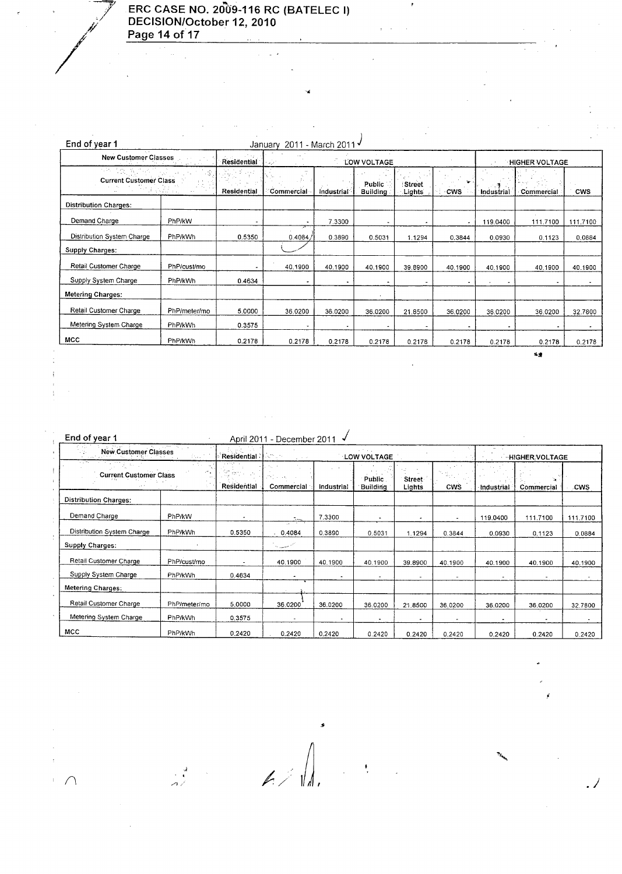

 $\frac{1}{4}$  $\frac{1}{3}$ 

 $\bar{z}$ 

 $\ddot{\phantom{a}}$ 

## **ERC CASE NO. 2009-116 RC (BATELEC I) DECISION/October 12, 2010 Page 14 of 17**

 $\bar{z}$ 

 $\frac{1}{2}$  ,  $\frac{1}{2}$  ,  $\frac{1}{2}$ 

| End of year 1                                                                                        |              |                               | January 2011 - March 2011 V              |                       |                           |                                   |          |            |                |            |
|------------------------------------------------------------------------------------------------------|--------------|-------------------------------|------------------------------------------|-----------------------|---------------------------|-----------------------------------|----------|------------|----------------|------------|
| <b>New Customer Classes</b><br>Police of Area<br>AŠ.<br><b>Current Customer Class</b><br>s Alexandro |              | Residential                   | $\mathcal{L}_{\mathcal{A}}(\mathcal{A})$ | <b>HIGHER VOLTAGE</b> |                           |                                   |          |            |                |            |
|                                                                                                      |              | $\mathbb{R}^n$<br>Residential | Commercial                               | Industrial            | <b>Public</b><br>Building | LOW VOLTAGE<br>: Street<br>Lights | ÷<br>cws | Industrial | Commercial     | <b>CWS</b> |
| <b>Distribution Charges:</b>                                                                         |              |                               |                                          |                       |                           |                                   |          |            |                |            |
| Demand Charge                                                                                        | PhP/kW       |                               | $\blacksquare$                           | 7.3300                | $\ddot{\phantom{0}}$      | ۰                                 | ۰        | 119,0400   | 111.7100       | 111.7100   |
| Distribution System Charge                                                                           | PhP/kWh      | 0.5350                        | 0.4084                                   | 0.3890                | 0.5031                    | 1.1294                            | 0.3844   | 0.0930     | 0.1123         | 0.0884     |
| <b>Supply Charges:</b>                                                                               |              |                               |                                          |                       |                           |                                   |          |            |                |            |
| Retail Customer Charge                                                                               | PhP/cust/mo  |                               | 40.1900                                  | 40.1900               | 40.1900                   | 39.8900                           | 40.1900  | 40.1900    | 40.1900        | 40.1900    |
| Supply System Charge                                                                                 | PhP/kWh      | 0.4634                        |                                          |                       | $\overline{\phantom{a}}$  | $\tilde{\phantom{a}}$             | ٠        |            |                |            |
| <b>Metering Charges:</b>                                                                             |              |                               |                                          |                       |                           |                                   |          |            |                |            |
| Retail Customer Charge                                                                               | PhP/meter/mo | 5.0000                        | 36.0200                                  | 36.0200               | 36.0200                   | 21.8500                           | 36.0200  | 36.0200    | 36.0200        | 32.7800    |
| Metering System Charge                                                                               | PhP/kWh      | 0.3575                        | ٠                                        | $\sim$                |                           | $\omega$                          | ۰        |            | $\blacksquare$ |            |
| MCC                                                                                                  | PhP/kWh      | 0.2178                        | 0.2178                                   | 0.2178                | 0.2178                    | 0.2178                            | 0.2178   | 0.2178     | 0.2178         | 0.2178     |
|                                                                                                      |              |                               |                                          |                       |                           |                                   |          |            | 成果             |            |

..

 $\ddot{\phantom{a}}$ 

 $\cdot$ 

 $\hat{\mathcal{L}}$ 

 $\frac{1}{2}$  ,  $\frac{1}{2}$  ,  $\frac{1}{2}$  ,  $\frac{1}{2}$ 

| End of vear 1 | April 2011 - December 2011 √ |
|---------------|------------------------------|
|               |                              |

| New Customer Classes<br>for.<br>to a subset<br>$\sim 100$<br><b>Current Customer Class</b> |              | Residential                     | $\mathcal{A}^{\text{reg}}_{\text{reg}}(\mathcal{G})$<br>$\mathcal{L}_\mathrm{c}$ , where $\mathcal{L}_\mathrm{c}$ |            | and the car<br>LOW VOLTAGE                    |         | <b>HIGHER VOLTAGE</b>               |            |                    |            |
|--------------------------------------------------------------------------------------------|--------------|---------------------------------|-------------------------------------------------------------------------------------------------------------------|------------|-----------------------------------------------|---------|-------------------------------------|------------|--------------------|------------|
|                                                                                            |              | tur.<br>state of<br>Residential | 250 - 560<br>Commercial                                                                                           | Industrial | $\sim$ 100 $\pm$<br>Public<br><b>Building</b> |         | in d <sub>ana</sub> .<br><b>CWS</b> | Industrial | DA 1<br>Commercial | <b>CWS</b> |
| <b>Distribution Charges:</b>                                                               |              |                                 |                                                                                                                   |            |                                               |         |                                     |            |                    |            |
| Demand Charge                                                                              | PhP/kW       | ٠                               | Зm                                                                                                                | 7.3300     | ٠                                             |         | $\overline{a}$                      | 119,0400   | 111.7100           | 111.7100   |
| Distribution System Charge                                                                 | PhP/kWh      | 0.5350                          | $\sim$ 2.1<br>0.4084                                                                                              | 0.3890     | 0.5031                                        | 1.1294  | 0.3844                              | 0.0930     | 0.1123             | 0.0884     |
| Supply Charges:                                                                            |              |                                 | مسمع المستدرجة                                                                                                    |            |                                               |         |                                     |            |                    |            |
| Retail Customer Charge                                                                     | PhP/cust/mo  | $\blacksquare$                  | 40.1900                                                                                                           | 40.1900    | 40.1900                                       | 39.8900 | 40.1900                             | 40.1900    | 40,1900            | 40.1900    |
| Supply System Charge                                                                       | PhP/kWh      | 0.4634                          |                                                                                                                   |            | ۰                                             |         |                                     |            |                    |            |
| Metering Charges:                                                                          |              |                                 |                                                                                                                   |            |                                               |         |                                     |            |                    |            |
| Retail Customer Charge                                                                     | PhP/meter/mo | 5.0000                          | 36.0200                                                                                                           | 36.0200    | 36.0200                                       | 21,8500 | 36.0200                             | 36.0200    | 36,0200            | 32.7800    |
| Metering System Charge                                                                     | PhP/kWh      | 0.3575                          |                                                                                                                   |            | $\blacksquare$                                |         |                                     |            |                    |            |
| MCC                                                                                        | PhP/kWh      | 0.2420                          | 0.2420                                                                                                            | 0.2420     | 0.2420                                        | 0.2420  | 0.2420                              | 0.2420     | 0.2420             | 0.2420     |

.......-J .,' //. I~, *.J*

.,i

J.

*n*

 $\cdot$  $\bar{z}$